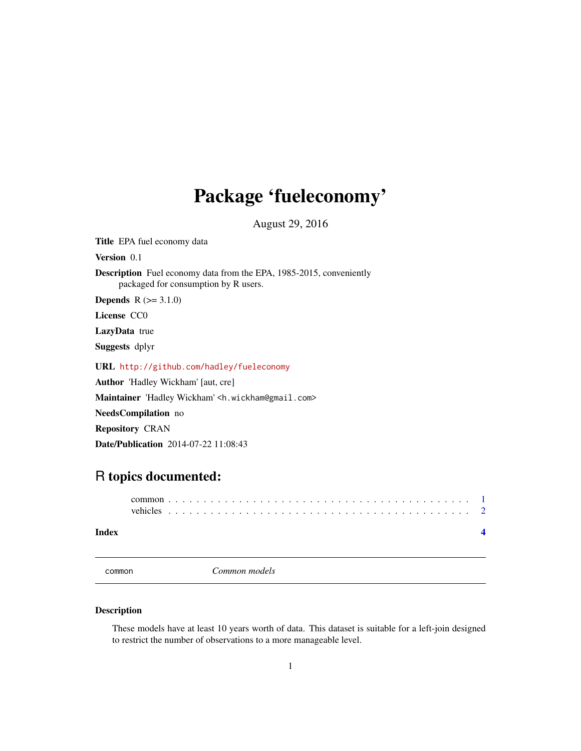## <span id="page-0-0"></span>Package 'fueleconomy'

August 29, 2016

Title EPA fuel economy data

Version 0.1

Description Fuel economy data from the EPA, 1985-2015, conveniently packaged for consumption by R users.

**Depends**  $R (=3.1.0)$ 

License CC0

LazyData true

Suggests dplyr

URL <http://github.com/hadley/fueleconomy>

Author 'Hadley Wickham' [aut, cre]

Maintainer 'Hadley Wickham' <h.wickham@gmail.com>

NeedsCompilation no

Repository CRAN

Date/Publication 2014-07-22 11:08:43

## R topics documented:

#### **Index** [4](#page-3-0)

common *Common models*

#### Description

These models have at least 10 years worth of data. This dataset is suitable for a left-join designed to restrict the number of observations to a more manageable level.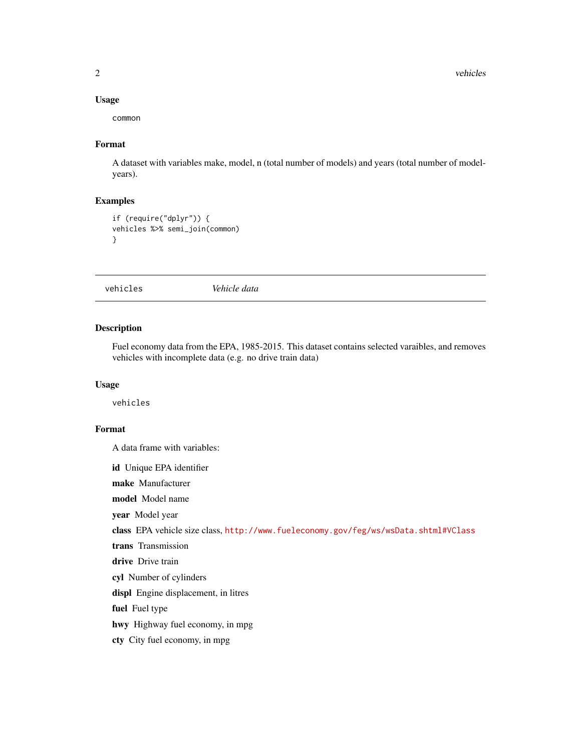<span id="page-1-0"></span>2 vehicles and the contract of the contract of the contract of the contract of the contract of the contract of the contract of the contract of the contract of the contract of the contract of the contract of the contract of

#### Usage

common

#### Format

A dataset with variables make, model, n (total number of models) and years (total number of modelyears).

#### Examples

```
if (require("dplyr")) {
vehicles %>% semi_join(common)
}
```
vehicles *Vehicle data*

#### Description

Fuel economy data from the EPA, 1985-2015. This dataset contains selected varaibles, and removes vehicles with incomplete data (e.g. no drive train data)

#### Usage

vehicles

#### Format

A data frame with variables:

id Unique EPA identifier

make Manufacturer

model Model name

year Model year

class EPA vehicle size class, <http://www.fueleconomy.gov/feg/ws/wsData.shtml#VClass>

trans Transmission

drive Drive train

cyl Number of cylinders

displ Engine displacement, in litres

fuel Fuel type

hwy Highway fuel economy, in mpg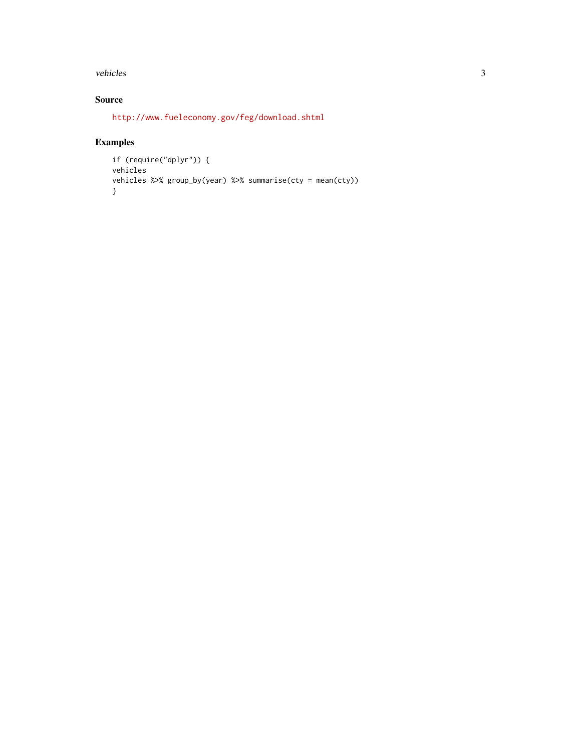#### vehicles 3

#### Source

<http://www.fueleconomy.gov/feg/download.shtml>

### Examples

```
if (require("dplyr")) {
vehicles
vehicles %>% group_by(year) %>% summarise(cty = mean(cty))
}
```